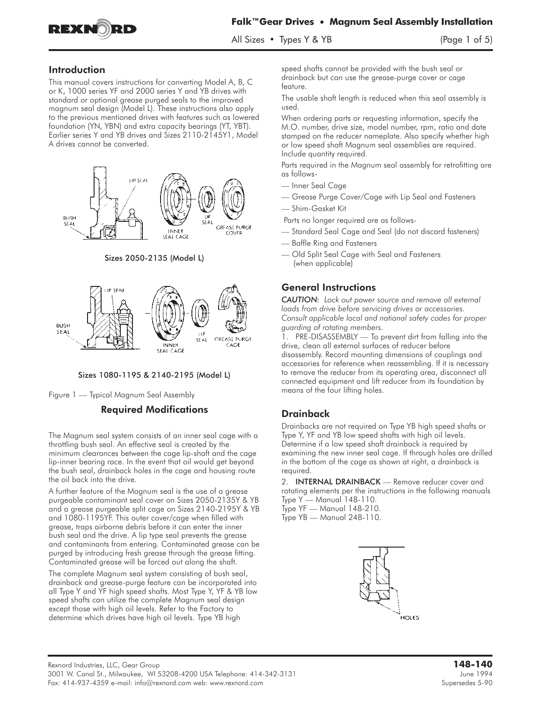

 $\frac{1}{2}$   $\frac{1}{2}$   $\frac{1}{2}$   $\frac{1}{2}$   $\frac{1}{2}$   $\frac{1}{2}$   $\frac{1}{2}$   $\frac{1}{2}$   $\frac{1}{2}$   $\frac{1}{2}$   $\frac{1}{2}$   $\frac{1}{2}$   $\frac{1}{2}$   $\frac{1}{2}$   $\frac{1}{2}$   $\frac{1}{2}$   $\frac{1}{2}$   $\frac{1}{2}$   $\frac{1}{2}$   $\frac{1}{2}$   $\frac{1}{2}$   $\frac{1}{2}$ 

### Introduction

This manual covers instructions for converting Model A, B, C or K, 1000 series YF and 2000 series Y and YB drives with standard or optional grease purged seals to the improved magnum seal design (Model L). These instructions also apply to the previous mentioned drives with features such as lowered foundation (YN, YBN) and extra capacity bearings (YT, YBT). Earlier series Y and YB drives and Sizes 2110-2145Y1, Model A drives cannot be converted.



Sizes 2050-2135 (Model L)





Figure1—Typical Magnum Seal Assembly

## Required Modifications

The Magnum seal system consists of an inner seal cage with a throttling bush seal. An effective seal is created by the minimum clearances between the cage lip-shaft and the cage lip-inner bearing race. In the event that oil would get beyond the bush seal, drainback holes in the cage and housing route the oil back into the drive.

A further feature of the Magnum seal is the use of a grease purgeable contaminant seal cover on Sizes 2050-2135Y & YB and a grease purgeable split cage on Sizes 2140-2195Y & YB and 1080-1195YF. This outer cover/cage when filled with grease, traps airborne debris before it can enter the inner bush seal and the drive. A lip type seal prevents the grease and contaminants from entering. Contaminated grease can be purged by introducing fresh grease through the grease fitting. Contaminated grease will be forced out along the shaft.

The complete Magnum seal system consisting of bush seal, drainback and grease-purge feature can be incorporated into all Type Y and YF high speed shafts. Most Type Y, YF & YB low speed shafts can utilize the complete Magnum seal design except those with high oil levels. Refer to the Factory to determine which drives have high oil levels. Type YB high

speed shafts cannot be provided with the bush seal or drainback but can use the grease-purge cover or cage feature.

The usable shaft length is reduced when this seal assembly is used.

When ordering parts or requesting information, specify the M.O. number, drive size, model number, rpm, ratio and date stamped on the reducer nameplate. Also specify whether high or low speed shaft Magnum seal assemblies are required. Include quantity required.

Parts required in the Magnum seal assembly for retrofitting are as follows-

- Inner Seal Cage
- Grease Purge Cover/Cage with Lip Seal and Fasteners
- Shim-Gasket Kit

Parts no longer required are as follows-

- Standard Seal Cage and Seal (do not discard fasteners)
- Baffle Ring and Fasteners
- Old Split Seal Cage with Seal and Fasteners (when applicable)

## General Instructions

*CAUTION: Lock out power source and remove all external loads from drive before servicing drives or accessories. Consult applicable local and national safety codes for proper guarding of rotating members.*

**1. PRE-DISASSEMBLY —** To prevent dirt from falling into the drive, clean all external surfaces of reducer before disassembly. Record mounting dimensions of couplings and accessories for reference when reassembling. If it is necessary to remove the reducer from its operating area, disconnect all connected equipment and lift reducer from its foundation by means of the four lifting holes.

## **Drainback**

Drainbacks are not required on Type YB high speed shafts or Type Y, YF and YB low speed shafts with high oil levels. Determine if a low speed shaft drainback is required by examining the new inner seal cage. If through holes are drilled in the bottom of the cage as shown at right, a drainback is required.

**2.** INTERNAL DRAINBACK **—** Remove reducer cover and rotating elements per the instructions in the following manuals Type Y — Manual 148-110. Type YF — Manual 148-210.

Type YB — Manual 248-110.

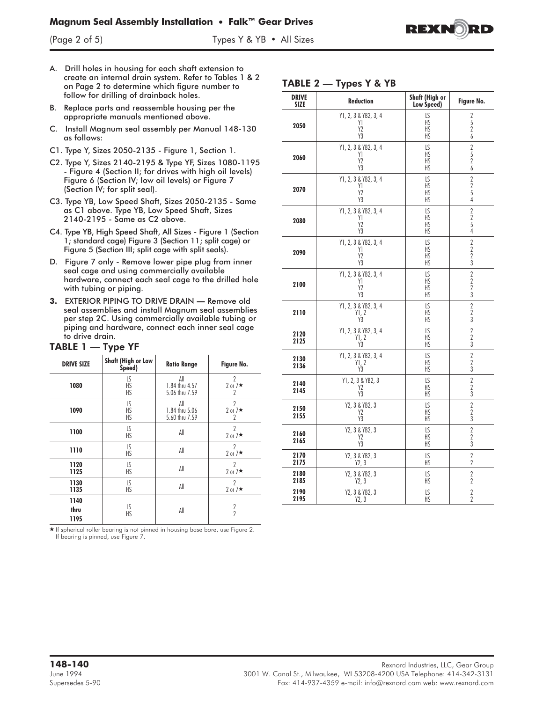# **Magnum Seal Assembly Installation • Falk™ Gear Drives**



- A. Drill holes in housing for each shaft extension to create an internal drain system. Refer to Tables1&2 on Page 2 to determine which figure number to follow for drilling of drainback holes.
- B. Replace parts and reassemble housing per the appropriate manuals mentioned above.
- C. Install Magnum seal assembly per Manual 148-130 as follows:
- C1. Type Y, Sizes 2050-2135 Figure 1, Section 1.
- C2. Type Y, Sizes 2140-2195 & Type YF, Sizes 1080-1195 - Figure 4 (Section II; for drives with high oil levels) Figure 6 (Section IV; low oil levels) or Figure 7 (Section IV; for split seal).
- C3. Type YB, Low Speed Shaft, Sizes 2050-2135 Same as C1 above. Type YB, Low Speed Shaft, Sizes 2140-2195 - Same as C2 above.
- C4. Type YB, High Speed Shaft, All Sizes Figure 1 (Section 1; standard cage) Figure 3 (Section 11; split cage) or Figure 5 (Section III; split cage with split seals).
- D. Figure 7 only Remove lower pipe plug from inner seal cage and using commercially available hardware, connect each seal cage to the drilled hole with tubing or piping.
- **3.** EXTERIOR PIPING TO DRIVE DRAIN **—** Remove old seal assemblies and install Magnum seal assemblies per step 2C. Using commercially available tubing or piping and hardware, connect each inner seal cage to drive drain.

#### TABLE 1 — Type YF

| <b>DRIVE SIZE</b>    | <b>Shaft (High or Low</b><br>Speed) | <b>Ratio Range</b> | Figure No.                |
|----------------------|-------------------------------------|--------------------|---------------------------|
| 1080                 | LS                                  | All                | $\gamma$                  |
|                      | HS                                  | 1.84 thru 4.57     | 2 or $7\star$             |
|                      | <b>HS</b>                           | 5.06 thru 7.59     | 2                         |
| 1090                 | LS                                  | All                | $\gamma$                  |
|                      | <b>HS</b>                           | 1.84 thru 5.06     | 2 or $7\star$             |
|                      | HS                                  | 5.60 thru 7.59     | $\overline{2}$            |
| 1100                 | LS<br><b>HS</b>                     | All                | $\gamma$<br>2 or $7\star$ |
| 1110                 | LS<br>HS                            | All                | 2<br>2 or $7\star$        |
| 1120                 | LS                                  | All                | $\gamma$                  |
| 1125                 | <b>HS</b>                           |                    | 2 or $7*$                 |
| 1130                 | LS                                  | All                | 2                         |
| 1135                 | HS                                  |                    | 2 or $7\star$             |
| 1140<br>thru<br>1195 | LS<br>HS                            | All                | $\frac{2}{2}$             |

- If spherical roller bearing is not pinned in housing base bore, use Figure 2. If bearing is pinned, use Figure 7.

## TABLE 2 — Types Y & YB

| <b>DRIVE</b><br><b>SIZE</b> | Reduction                                          | Shaft (High or<br>Low Speed) | Figure No.                                                   |
|-----------------------------|----------------------------------------------------|------------------------------|--------------------------------------------------------------|
| 2050                        | Y1, 2, 3 & YB2, 3, 4<br>Y1<br>Y <sub>2</sub><br>Y3 | LS<br>HS<br>ΗS<br>ΗS         | $\begin{array}{c} 2 \\ 5 \\ 2 \end{array}$<br>$\overline{6}$ |
| 2060                        | Y1, 2, 3 & YB2, 3, 4<br>Y1<br>Y2<br>Y3             | LS<br>ΗS<br>HŚ<br>ΗS         | $\begin{array}{c}\n2 \\ 5 \\ 2 \\ 6\n\end{array}$            |
| 2070                        | Y1, 2, 3 & YB2, 3, 4<br>Y1<br>Y2<br>Y3             | LS<br>HS<br>ΗS<br>HS         | $\frac{2}{2}$<br>5<br>4                                      |
| 2080                        | Y1, 2, 3 & YB2, 3, 4<br>Y1<br>Y2<br>Y3             | LS<br>НS<br>HŚ<br>ΗS         | $\frac{2}{2}$<br>$\overline{4}$                              |
| 2090                        | Y1, 2, 3 & YB2, 3, 4<br>Y1<br>Y2<br>Y3             | LS<br>HS<br>ΗS<br>HS         | $\begin{array}{c}\n2 \\ 2 \\ 3\n\end{array}$                 |
| 2100                        | Y1, 2, 3 & YB2, 3, 4<br>Y1<br>Y2<br>Y3             | LS<br>HS<br>HS<br>HS         | $\begin{array}{c}\n2 \\ 2 \\ 3\n\end{array}$                 |
| 2110                        | Y1, 2, 3 & YB2, 3, 4<br>Y1, 2<br>Ý3                | LS<br>ΗS<br>ΗS               | $\overline{2}$<br>$\frac{2}{3}$                              |
| 2120<br>2125                | Y1, 2, 3 & YB2, 3, 4<br>$\frac{Y1}{Y3}$            | LS<br>HS<br>ΗS               | $\frac{2}{3}$                                                |
| 2130<br>2136                | Y1, 2, 3 & YB2, 3, 4<br>Y1, 2<br>Y3                | LS<br>HS<br>ΗS               | $\frac{2}{2}$<br>$\overline{3}$                              |
| 2140<br>2145                | Y1, 2, 3 & YB2, 3<br>Y <sub>2</sub><br>Y3          | LS<br>ΗS<br>ΗS               | $\frac{2}{2}$<br>3                                           |
| 2150<br>2155                | Y2, 3 & YB2, 3<br>Υ2<br>Y3                         | LS<br>HS<br>ΗS               | $\frac{2}{2}$<br>3                                           |
| 2160<br>2165                | Y2, 3 & YB2, 3<br>Y2<br>Y3                         | LS<br>ΗS<br>HS               | $\overline{2}$<br>$\frac{2}{3}$                              |
| 2170<br>2175                | Y2, 3 & YB2, 3<br>Y2, 3                            | LS<br>ΗS                     | $\overline{2}$<br>$\overline{2}$                             |
| 2180<br>2185                | Y2, 3 & YB2, 3<br>Y2, 3                            | LS.<br>ΗS                    | $\sqrt{2}$<br>$\boldsymbol{2}$                               |
| 2190<br>2195                | Y2, 3 & YB2, 3<br>Y2, 3                            | LS<br>ΗS                     | $\overline{2}$<br>$\overline{2}$                             |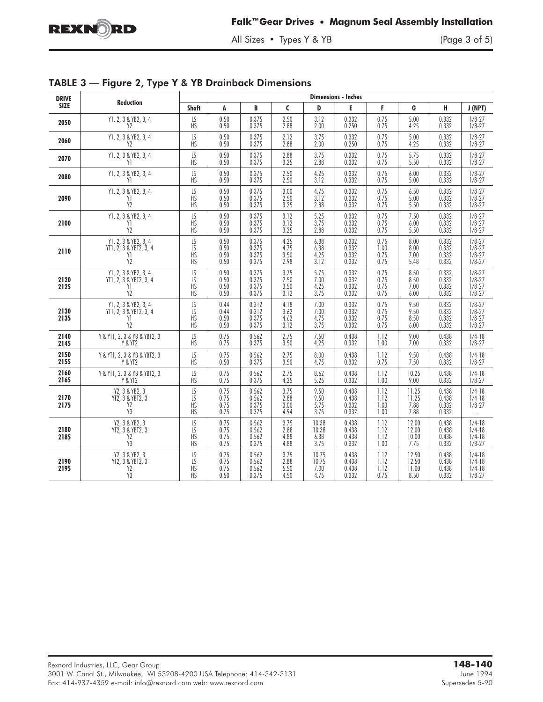

All Sizes • Types Y & YB

|  |  |  |  | TABLE 3 - Figure 2, Type Y & YB Drainback Dimensions |
|--|--|--|--|------------------------------------------------------|
|--|--|--|--|------------------------------------------------------|

| <b>DRIVE</b> | Reduction                                                              | <b>Dimensions - Inches</b>               |                              |                                  |                              |                                |                                  |                              |                                 |                                  |                                                      |
|--------------|------------------------------------------------------------------------|------------------------------------------|------------------------------|----------------------------------|------------------------------|--------------------------------|----------------------------------|------------------------------|---------------------------------|----------------------------------|------------------------------------------------------|
| <b>SIZE</b>  |                                                                        | <b>Shaft</b>                             | A                            | B                                | $\mathsf{C}$                 | D                              | E                                | F                            | G                               | н.                               | J (NPT)                                              |
| 2050         | Y1, 2, 3 & YB2, 3, 4                                                   | LS                                       | 0.50                         | 0.375                            | 2.50                         | 3.12                           | 0.332                            | 0.75                         | 5.00                            | 0.332                            | $1/8 - 27$                                           |
|              | Y <sub>2</sub>                                                         | <b>HS</b>                                | 0.50                         | 0.375                            | 2.88                         | 2.00                           | 0.250                            | 0.75                         | 4.25                            | 0.332                            | $1/8 - 27$                                           |
| 2060         | Y1, 2, 3 & YB2, 3, 4                                                   | LS                                       | 0.50                         | 0.375                            | 2.12                         | 3.75                           | 0.332                            | 0.75                         | 5.00                            | 0.332                            | $1/8 - 27$                                           |
|              | Y <sub>2</sub>                                                         | <b>HS</b>                                | 0.50                         | 0.375                            | 2.88                         | 2.00                           | 0.250                            | 0.75                         | 4.25                            | 0.332                            | $1/8 - 27$                                           |
| 2070         | Y1, 2, 3 & YB2, 3, 4                                                   | LS                                       | 0.50                         | 0.375                            | 2.88                         | 3.75                           | 0.332                            | 0.75                         | 5.75                            | 0.332                            | $1/8 - 27$                                           |
|              | Y1                                                                     | <b>HS</b>                                | 0.50                         | 0.375                            | 3.25                         | 2.88                           | 0.332                            | 0.75                         | 5.50                            | 0.332                            | $1/8 - 27$                                           |
| 2080         | Y1, 2, 3 & YB2, 3, 4                                                   | LS                                       | 0.50                         | 0.375                            | 2.50                         | 4.25                           | 0.332                            | 0.75                         | 6.00                            | 0.332                            | $1/8 - 27$                                           |
|              | Y1                                                                     | <b>HS</b>                                | 0.50                         | 0.375                            | 2.50                         | 3.12                           | 0.332                            | 0.75                         | 5.00                            | 0.332                            | $1/8 - 27$                                           |
| 2090         | Y1, 2, 3 & YB2, 3, 4                                                   | LS                                       | 0.50                         | 0.375                            | 3.00                         | 4.75                           | 0.332                            | 0.75                         | 6.50                            | 0.332                            | $1/8 - 27$                                           |
|              | Y1                                                                     | HS                                       | 0.50                         | 0.375                            | 2.50                         | 3.12                           | 0.332                            | 0.75                         | 5.00                            | 0.332                            | $1/8 - 27$                                           |
|              | Y <sub>2</sub>                                                         | <b>HS</b>                                | 0.50                         | 0.375                            | 3.25                         | 2.88                           | 0.332                            | 0.75                         | 5.50                            | 0.332                            | $1/8 - 27$                                           |
| 2100         | Y1, 2, 3 & YB2, 3, 4                                                   | LS                                       | 0.50                         | 0.375                            | 3.12                         | 5.25                           | 0.332                            | 0.75                         | 7.50                            | 0.332                            | $1/8 - 27$                                           |
|              | Y1                                                                     | <b>HS</b>                                | 0.50                         | 0.375                            | 3.12                         | 3.75                           | 0.332                            | 0.75                         | 6.00                            | 0.332                            | $1/8 - 27$                                           |
|              | Y <sub>2</sub>                                                         | HS                                       | 0.50                         | 0.375                            | 3.25                         | 2.88                           | 0.332                            | 0.75                         | 5.50                            | 0.332                            | $1/8 - 27$                                           |
| 2110         | Y1, 2, 3 & YB2, 3, 4                                                   | LS                                       | 0.50                         | 0.375                            | 4.25                         | 6.38                           | 0.332                            | 0.75                         | 8.00                            | 0.332                            | $1/8 - 27$                                           |
|              | YT1, 2, 3 & YBT2, 3, 4                                                 | LS                                       | 0.50                         | 0.375                            | 4.75                         | 6.38                           | 0.332                            | 1.00                         | 8.00                            | 0.332                            | $1/8 - 27$                                           |
|              | Y1                                                                     | HS                                       | 0.50                         | 0.375                            | 3.50                         | 4.25                           | 0.332                            | 0.75                         | 7.00                            | 0.332                            | $1/8 - 27$                                           |
|              | Y2                                                                     | <b>HS</b>                                | 0.50                         | 0.375                            | 2.98                         | 3.12                           | 0.332                            | 0.75                         | 5.48                            | 0.332                            | $1/8 - 27$                                           |
| 2120<br>2125 | Y1, 2, 3 & YB2, 3, 4<br>YT1, 2, 3 & YBT2, 3, 4<br>Y1<br>Y <sub>2</sub> | LS<br>$\overline{LS}$<br>HS<br>HS        | 0.50<br>0.50<br>0.50<br>0.50 | 0.375<br>0.375<br>0.375<br>0.375 | 3.75<br>2.50<br>3.50<br>3.12 | 5.75<br>7.00<br>4.25<br>3.75   | 0.332<br>0.332<br>0.332<br>0.332 | 0.75<br>0.75<br>0.75<br>0.75 | 8.50<br>8.50<br>7.00<br>6.00    | 0.332<br>0.332<br>0.332<br>0.332 | $1/8 - 27$<br>$1/8 - 27$<br>$1/8 - 27$<br>$1/8 - 27$ |
| 2130<br>2135 | Y1, 2, 3 & YB2, 3, 4<br>YT1, 2, 3 & YBT2, 3, 4<br>Y1<br>Y2             | LS<br>LS<br>HS<br><b>HS</b>              | 0.44<br>0.44<br>0.50<br>0.50 | 0.312<br>0.312<br>0.375<br>0.375 | 4.18<br>3.62<br>4.62<br>3.12 | 7.00<br>7.00<br>4.75<br>3.75   | 0.332<br>0.332<br>0.332<br>0.332 | 0.75<br>0.75<br>0.75<br>0.75 | 9.50<br>9.50<br>8.50<br>6.00    | 0.332<br>0.332<br>0.332<br>0.332 | $1/8 - 27$<br>$1/8 - 27$<br>$1/8 - 27$<br>$1/8 - 27$ |
| 2140         | Y & YT1, 2, 3 & YB & YBT2, 3                                           | LS                                       | 0.75                         | 0.562                            | 2.75                         | 7.50                           | 0.438                            | 1.12                         | 9.00                            | 0.438                            | $1/4 - 18$                                           |
| 2145         | Y & YT2                                                                | HS                                       | 0.75                         | 0.375                            | 3.50                         | 4.25                           | 0.332                            | 1.00                         | 7.00                            | 0.332                            | $1/8 - 27$                                           |
| 2150         | Y & YT1, 2, 3 & YB & YBT2, 3                                           | LS                                       | 0.75                         | 0.562                            | 2.75                         | 8.00                           | 0.438                            | 1.12                         | 9.50                            | 0.438                            | $1/4-18$                                             |
| 2155         | Y & YT2                                                                | <b>HS</b>                                | 0.50                         | 0.375                            | 3.50                         | 4.75                           | 0.332                            | 0.75                         | 7.50                            | 0.332                            | $1/8 - 27$                                           |
| 2160         | Y & YT1, 2, 3 & YB & YBT2, 3                                           | LS                                       | 0.75                         | 0.562                            | 2.75                         | 8.62                           | 0.438                            | 1.12                         | 10.25                           | 0.438                            | $1/4-18$                                             |
| 2165         | Y & YT2                                                                | HS                                       | 0.75                         | 0.375                            | 4.25                         | 5.25                           | 0.332                            | 1.00                         | 9.00                            | 0.332                            | $1/8 - 27$                                           |
| 2170<br>2175 | Y2, 3 & YB2, 3<br>YT2, 3 & YBT2, 3<br>Y2<br>Y3                         | LS<br>LS<br><b>HS</b><br><b>HS</b>       | 0.75<br>0.75<br>0.75<br>0.75 | 0.562<br>0.562<br>0.375<br>0.375 | 3.75<br>2.88<br>3.00<br>4.94 | 9.50<br>9.50<br>5.75<br>3.75   | 0.438<br>0.438<br>0.332<br>0.332 | 1.12<br>1.12<br>1.00<br>1.00 | 11.25<br>11.25<br>7.88<br>7.88  | 0.438<br>0.438<br>0.332<br>0.332 | $1/4-18$<br>$1/4-18$<br>$1/8 - 27$                   |
| 2180<br>2185 | Y2, 3 & YB2, 3<br>YT2, 3 & YBT2, 3<br>Y <sub>2</sub><br>Y3             | LS<br>LS<br><b>HS</b><br>$\overline{HS}$ | 0.75<br>0.75<br>0.75<br>0.75 | 0.562<br>0.562<br>0.562<br>0.375 | 3.75<br>2.88<br>4.88<br>4.88 | 10.38<br>10.38<br>6.38<br>3.75 | 0.438<br>0.438<br>0.438<br>0.332 | 1.12<br>1.12<br>1.12<br>1.00 | 12.00<br>12.00<br>10.00<br>7.75 | 0.438<br>0.438<br>0.438<br>0.332 | $1/4-18$<br>$1/4-18$<br>$1/4-18$<br>$1/8 - 27$       |
| 2190<br>2195 | Y2, 3 & YB2, 3<br>YT2, 3 & YBT2, 3<br>Y2<br>Y3                         | LS<br>$\overline{LS}$<br>HS<br><b>HS</b> | 0.75<br>0.75<br>0.75<br>0.50 | 0.562<br>0.562<br>0.562<br>0.375 | 3.75<br>2.88<br>5.50<br>4.50 | 10.75<br>10.75<br>7.00<br>4.75 | 0.438<br>0.438<br>0.438<br>0.332 | 1.12<br>1.12<br>1.12<br>0.75 | 12.50<br>12.50<br>11.00<br>8.50 | 0.438<br>0.438<br>0.438<br>0.332 | $1/4 - 18$<br>$1/4 - 18$<br>$1/4-18$<br>$1/8 - 27$   |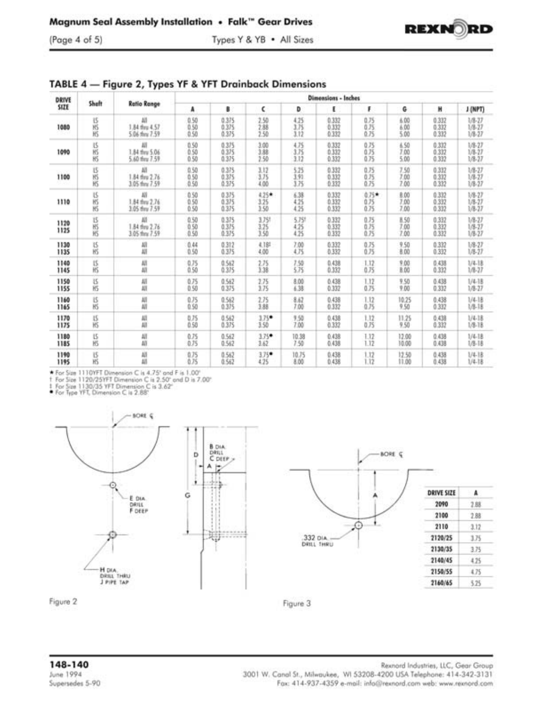



| DRIVE<br>SIZE | Sheft      | <b>Ratio Range</b>               | Dimensions - Inches  |                                |                         |                             |                                      |                       |                            |                                |                                        |
|---------------|------------|----------------------------------|----------------------|--------------------------------|-------------------------|-----------------------------|--------------------------------------|-----------------------|----------------------------|--------------------------------|----------------------------------------|
|               |            |                                  | A                    | B                              | c                       | ٥                           | ε                                    | F                     | G                          | н                              | J (NPT)                                |
| 1080          | 医丙胺        | 1.84 thru 4.57<br>5.06 this 7.59 | 0.50<br>0.50<br>0.50 | 0.375<br>0.375<br>0.375        | 2.50<br>2.88<br>2.50    | 4.25<br>3.75<br>3.12        | $\substack{0.332 \\ 0.332}$<br>0.332 | 0.75<br>0.75<br>0.75  | 6.00<br>6.00<br>5.00       | 0.332<br>$\frac{0.337}{0.332}$ | $1/8 - 27$<br>$1/8 - 27$<br>$1/8 - 27$ |
| 1090          | 达形形        | 1.84 thru 5.06<br>5.60 thru 7.59 | 0.50<br>0.50         | 0.375<br>0.375<br>0.375        | 3.00<br>3.88<br>2.50    | 4.75<br>3.75<br>3.12        | 0.332<br>0.332<br>0.332              | 0.75<br>0.75<br>0.75  | 6.50<br>7.00<br>5.00       | 0.332<br>0.332<br>0.332        | 1/8-27<br>$1/8 - 27$<br>1/8-27         |
| 1100          | 话丙         | 1.84 thru 2.76<br>3.05 thru 7.59 | 0.50<br>0.50<br>0.50 | 0.375<br>0.375<br>0.375        | 3.12<br>3.75<br>4.00    | $\frac{5.25}{3.91}$<br>3.75 | 0.332<br>0.332<br>0.332              | 0.75<br>0.75<br>0.75  | $7.50$<br>$7.00$<br>7.00   | 0.332<br>0.332<br>0.332        | $1/8 - 27$<br>$1/8 - 27$<br>$1/8 - 27$ |
| 1110          | 区的形        | 1.84 thru 2.76<br>3.05 thru 7.59 | 0.50<br>0.50         | 0.375<br>$\frac{0.375}{0.375}$ | 4.25★<br>3.25<br>1.50   | 6.38<br>$\frac{4.25}{4.25}$ | 0.332<br>$\frac{0.332}{0.332}$       | 0.75*<br>0.75<br>0.75 | <b>意00</b><br>7.00<br>7.00 | 0.332<br>$0.332$<br>$0.332$    | 1/8-27<br>$1/8 - 27$<br>$1/8 - 27$     |
| 1120<br>1125  | 15形形       | 1.84 thru 2.76<br>3.05 thru 7.59 | 0.50<br>0.50         | 0.375<br>0.375<br>0.375        | 3,751<br>$^{125}_{150}$ | 5.75%<br>4.25<br>4.25       | 0.332<br>$\frac{0.332}{0.332}$       | 0.75<br>0.75<br>0.75  | 8.50<br>7.00<br>7.00       | 0.332<br>$\frac{0.337}{0.332}$ | $1/8 - 27$<br>$1/8 - 27$<br>$1/8-27$   |
| 1130<br>1135  | 1Ś<br>H\$  | 쎄<br>Ш                           | 0.44<br>0.50         | 0.312<br>0.375                 | 4.188<br>4.00           | 7.00<br>4.75                | 0.332<br>0.332                       | 0.75<br>0.75          | 9.50<br>8.00               | 0.332<br>0.332                 | $1/8 - 27$<br>$1/8-27$                 |
| 1140<br>1145  | 15.<br>HS. | All<br>Ш                         | 0.75<br>0.50         | 0.562<br>0.375                 | 2.75<br>3.38            | $^{7.50}_{5.75}$            | 0.438<br>0.332                       | $^{1.12}_{0.75}$      | 9.00<br>8.00               | 0.438<br>0.332                 | 1/4.18<br>1/8-27                       |
| 1150<br>1155  | ïS<br>HS   | All<br>All                       | 0.75<br>0.50         | $0.562$<br>0.375               | 2.75<br>3.75            | $^{8.00}_{4.38}$            | 0.438<br>0.332                       | 1.12<br>0.75          | $7.50$<br>$7.00$           | 0.438<br>0.332                 | $1/4 - 18$<br>$1/8 - 27$               |
| 1160<br>1165  | 15<br>HS   | 쎼<br>Ш                           | 0.75<br>0.50         | 0.562<br>0.375                 | 2.75<br>3.88            | 8.62<br>7.00                | 0.438<br>0.332                       | 1.12<br>0.75          | 10.25<br>9.50              | 0.438<br>0.337                 | $1/4 - 18$<br>1/8-18                   |
| 1170<br>1175  | 15<br>HS   | М<br>Äll                         | 0.75<br>0.50         | 0.562<br>0.375                 | 175*<br>3.50            | 9.50<br>7.00                | 0.438<br>0.332                       | 1.12<br>0.75          | 11:25<br>9.50              | 0,438<br>0.332                 | 1/4.18<br>1/8.18                       |
| 1180<br>1185  | 15<br>HS   | All<br>All                       | 0.75<br>0.75         | 0.562<br>0.562                 | $3.75$ *<br>3.62        | 10.38<br>7.50               | 0.438<br>0.438                       | $\frac{112}{112}$     | 12.00<br>10.00             | 0.438<br>0.438                 | 1/4-18<br>$1/8 - 18$                   |
| 1190<br>1195  | 15<br>Жŝ   | All<br>Ш                         | 0.75<br>0.75         | 0.562<br>0.562                 | 3,75*<br>4.25           | 10.75<br>8.00               | 0.438<br>0.438                       | 1.12<br>1.12          | 12.50<br>11.00             | 0.438<br>0.438                 | 1/4.18<br>1/4.18                       |

TABLE 4 - Figure 2, Types YF & YFT Drainback Dimensions

→ For Size 1110YFT Dimension C is 4.75" and F is 1.00"<br>† For Size 1120/25YFT Dimension C is 2.50" and D is 7.00"<br>‡ For Size 1130/35 YFT Dimension C is 3.62"<br>● For Type YFT, Dimension C is 2.88"









Figure 3